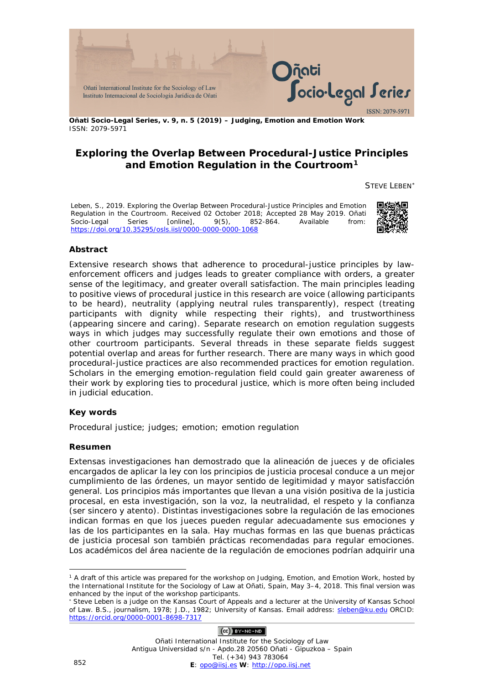

**Oñati Socio-Legal Series, v. 9, n. 5 (2019) – Judging, Emotion and Emotion Work** ISSN: 2079-5971

## **Exploring the Overlap Between Procedural-Justice Principles and Emotion Regulation in the Courtroom[1](#page-0-0)**

STEVE LEBEN[∗](#page-0-1)

Leben, S., 2019. Exploring the Overlap Between Procedural-Justice Principles and Emotion Regulation in the Courtroom. Received 02 October 2018; Accepted 28 May 2019. *Oñati Socio-Legal Series* [online], 9(5), 852-864. Available from: <https://doi.org/10.35295/osls.iisl/0000-0000-0000-1068>



### **Abstract**

Extensive research shows that adherence to procedural-justice principles by lawenforcement officers and judges leads to greater compliance with orders, a greater sense of the legitimacy, and greater overall satisfaction. The main principles leading to positive views of procedural justice in this research are voice (allowing participants to be heard), neutrality (applying neutral rules transparently), respect (treating participants with dignity while respecting their rights), and trustworthiness (appearing sincere and caring). Separate research on emotion regulation suggests ways in which judges may successfully regulate their own emotions and those of other courtroom participants. Several threads in these separate fields suggest potential overlap and areas for further research. There are many ways in which good procedural-justice practices are also recommended practices for emotion regulation. Scholars in the emerging emotion-regulation field could gain greater awareness of their work by exploring ties to procedural justice, which is more often being included in judicial education.

### **Key words**

Procedural justice; judges; emotion; emotion regulation

### **Resumen**

Extensas investigaciones han demostrado que la alineación de jueces y de oficiales encargados de aplicar la ley con los principios de justicia procesal conduce a un mejor cumplimiento de las órdenes, un mayor sentido de legitimidad y mayor satisfacción general. Los principios más importantes que llevan a una visión positiva de la justicia procesal, en esta investigación, son la voz, la neutralidad, el respeto y la confianza (ser sincero y atento). Distintas investigaciones sobre la regulación de las emociones indican formas en que los jueces pueden regular adecuadamente sus emociones y las de los participantes en la sala. Hay muchas formas en las que buenas prácticas de justicia procesal son también prácticas recomendadas para regular emociones. Los académicos del área naciente de la regulación de emociones podrían adquirir una

### $(Ce)$  BY-NC-ND

<span id="page-0-0"></span><sup>&</sup>lt;u>.</u> <sup>1</sup> A draft of this article was prepared for the workshop on *Judging, Emotion, and Emotion Work*, hosted by the International Institute for the Sociology of Law at Oñati, Spain, May 3–4, 2018. This final version was enhanced by the input of the workshop participants.

<span id="page-0-1"></span>Steve Leben is a judge on the Kansas Court of Appeals and a lecturer at the University of Kansas School of Law. B.S., journalism, 1978; J.D., 1982; University of Kansas. Email address: [sleben@ku.edu](mailto:sleben@ku.edu) ORCID: <https://orcid.org/0000-0001-8698-7317>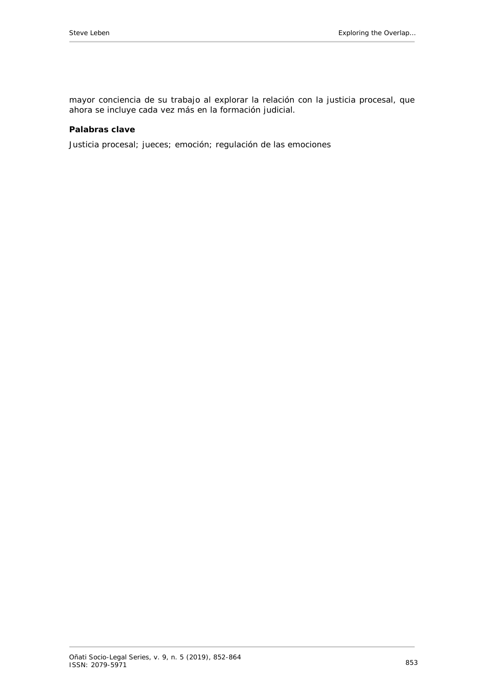mayor conciencia de su trabajo al explorar la relación con la justicia procesal, que ahora se incluye cada vez más en la formación judicial.

#### **Palabras clave**

Justicia procesal; jueces; emoción; regulación de las emociones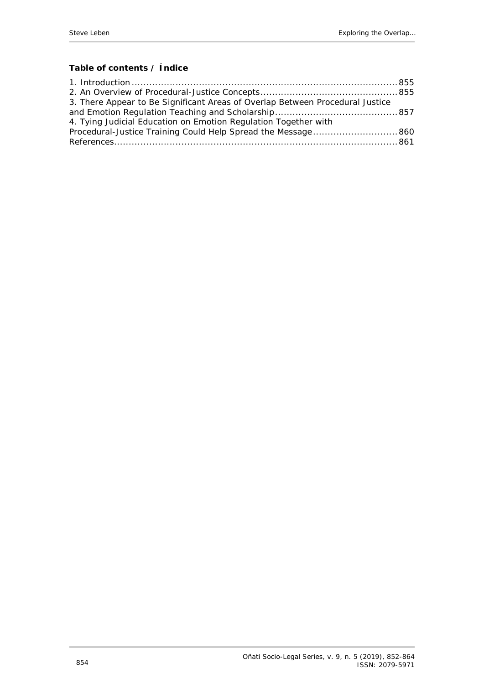# **Table of contents / Índice**

| 3. There Appear to Be Significant Areas of Overlap Between Procedural Justice |  |
|-------------------------------------------------------------------------------|--|
|                                                                               |  |
| 4. Tying Judicial Education on Emotion Regulation Together with               |  |
|                                                                               |  |
|                                                                               |  |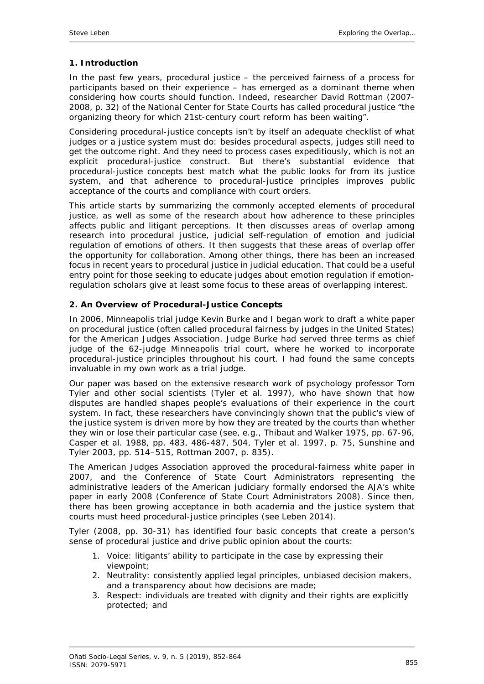## <span id="page-3-0"></span>**1. Introduction**

In the past few years, procedural justice – the perceived fairness of a process for participants based on their experience – has emerged as a dominant theme when considering how courts should function. Indeed, researcher David Rottman (2007- 2008, p. 32) of the National Center for State Courts has called procedural justice "the organizing theory for which 21st-century court reform has been waiting".

Considering procedural-justice concepts isn't by itself an adequate checklist of what judges or a justice system must do: besides procedural aspects, judges still need to get the outcome right. And they need to process cases expeditiously, which is not an explicit procedural-justice construct. But there's substantial evidence that procedural-justice concepts best match what the public looks for from its justice system, and that adherence to procedural-justice principles improves public acceptance of the courts and compliance with court orders.

This article starts by summarizing the commonly accepted elements of procedural justice, as well as some of the research about how adherence to these principles affects public and litigant perceptions. It then discusses areas of overlap among research into procedural justice, judicial self-regulation of emotion and judicial regulation of emotions of others. It then suggests that these areas of overlap offer the opportunity for collaboration. Among other things, there has been an increased focus in recent years to procedural justice in judicial education. That could be a useful entry point for those seeking to educate judges about emotion regulation if emotionregulation scholars give at least some focus to these areas of overlapping interest.

## <span id="page-3-1"></span>**2. An Overview of Procedural-Justice Concepts**

In 2006, Minneapolis trial judge Kevin Burke and I began work to draft a white paper on procedural justice (often called procedural fairness by judges in the United States) for the American Judges Association. Judge Burke had served three terms as chief judge of the 62-judge Minneapolis trial court, where he worked to incorporate procedural-justice principles throughout his court. I had found the same concepts invaluable in my own work as a trial judge.

Our paper was based on the extensive research work of psychology professor Tom Tyler and other social scientists (Tyler *et al.* 1997), who have shown that how disputes are handled shapes people's evaluations of their experience in the court system. In fact, these researchers have convincingly shown that the public's view of the justice system is driven more by how they are treated by the courts than whether they win or lose their particular case (see, e.g., Thibaut and Walker 1975, pp. 67-96, Casper *et al.* 1988, pp. 483, 486-487, 504, Tyler *et al.* 1997, p. 75, Sunshine and Tyler 2003, pp. 514–515, Rottman 2007, p. 835).

The American Judges Association approved the procedural-fairness white paper in 2007, and the Conference of State Court Administrators representing the administrative leaders of the American judiciary formally endorsed the AJA's white paper in early 2008 (Conference of State Court Administrators 2008). Since then, there has been growing acceptance in both academia and the justice system that courts must heed procedural-justice principles (see Leben 2014).

Tyler (2008, pp. 30-31) has identified four basic concepts that create a person's sense of procedural justice and drive public opinion about the courts:

- 1. *Voice*: litigants' ability to participate in the case by expressing their viewpoint;
- 2. *Neutrality*: consistently applied legal principles, unbiased decision makers, and a transparency about how decisions are made;
- 3. *Respect*: individuals are treated with dignity and their rights are explicitly protected; and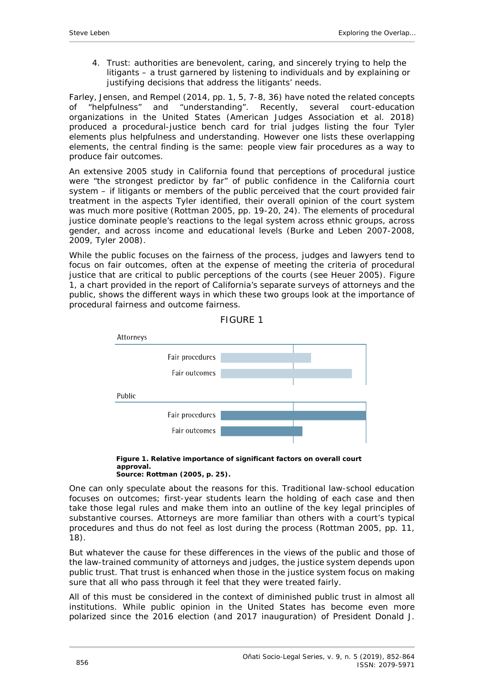4. *Trust*: authorities are benevolent, caring, and sincerely trying to help the litigants – a trust garnered by listening to individuals and by explaining or justifying decisions that address the litigants' needs.

Farley, Jensen, and Rempel (2014, pp. 1, 5, 7-8, 36) have noted the related concepts of "helpfulness" and "understanding". Recently, several court-education organizations in the United States (American Judges Association *et al.* 2018) produced a procedural-justice bench card for trial judges listing the four Tyler elements plus helpfulness and understanding. However one lists these overlapping elements, the central finding is the same: people view fair procedures as a way to produce fair outcomes.

An extensive 2005 study in California found that perceptions of procedural justice were "the strongest predictor by far" of public confidence in the California court system – if litigants or members of the public perceived that the court provided fair treatment in the aspects Tyler identified, their overall opinion of the court system was much more positive (Rottman 2005, pp. 19-20, 24). The elements of procedural justice dominate people's reactions to the legal system across ethnic groups, across gender, and across income and educational levels (Burke and Leben 2007-2008, 2009, Tyler 2008).

While the public focuses on the fairness of the process, judges and lawyers tend to focus on fair outcomes, often at the expense of meeting the criteria of procedural justice that are critical to public perceptions of the courts (see Heuer 2005). Figure 1, a chart provided in the report of California's separate surveys of attorneys and the public, shows the different ways in which these two groups look at the importance of procedural fairness and outcome fairness.





**Figure 1. Relative importance of significant factors on overall court approval. Source: Rottman (2005, p. 25).**

One can only speculate about the reasons for this. Traditional law-school education focuses on outcomes; first-year students learn the holding of each case and then take those legal rules and make them into an outline of the key legal principles of substantive courses. Attorneys are more familiar than others with a court's typical procedures and thus do not feel as lost during the process (Rottman 2005, pp. 11, 18).

But whatever the cause for these differences in the views of the public and those of the law-trained community of attorneys and judges, the justice system depends upon public trust. That trust is enhanced when those in the justice system focus on making sure that all who pass through it feel that they were treated fairly.

All of this must be considered in the context of diminished public trust in almost all institutions. While public opinion in the United States has become even more polarized since the 2016 election (and 2017 inauguration) of President Donald J.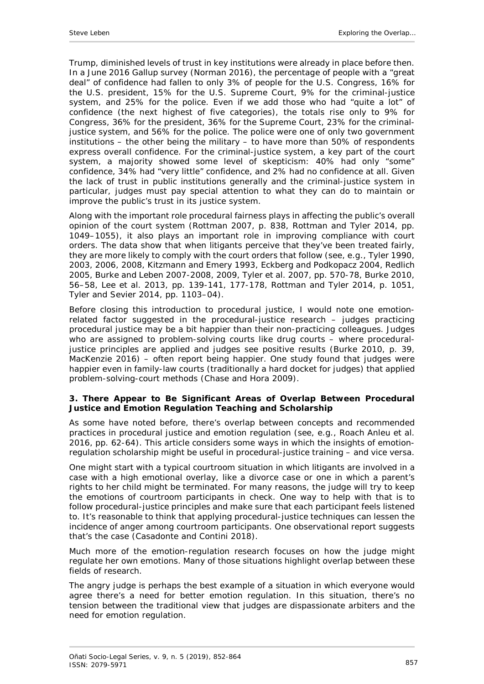Trump, diminished levels of trust in key institutions were already in place before then. In a June 2016 Gallup survey (Norman 2016), the percentage of people with a "great deal" of confidence had fallen to only 3% of people for the U.S. Congress, 16% for the U.S. president, 15% for the U.S. Supreme Court, 9% for the criminal-justice system, and 25% for the police. Even if we add those who had "quite a lot" of confidence (the next highest of five categories), the totals rise only to 9% for Congress, 36% for the president, 36% for the Supreme Court, 23% for the criminaljustice system, and 56% for the police. The police were one of only two government institutions – the other being the military – to have more than 50% of respondents express overall confidence. For the criminal-justice system, a key part of the court system, a majority showed some level of skepticism: 40% had only "some" confidence, 34% had "very little" confidence, and 2% had no confidence at all. Given the lack of trust in public institutions generally and the criminal-justice system in particular, judges must pay special attention to what they can do to maintain or improve the public's trust in its justice system.

Along with the important role procedural fairness plays in affecting the public's overall opinion of the court system (Rottman 2007, p. 838, Rottman and Tyler 2014, pp. 1049–1055), it also plays an important role in improving compliance with court orders. The data show that when litigants perceive that they've been treated fairly, they are more likely to comply with the court orders that follow (see, e.g., Tyler 1990, 2003, 2006, 2008, Kitzmann and Emery 1993, Eckberg and Podkopacz 2004, Redlich 2005, Burke and Leben 2007-2008, 2009, Tyler *et al.* 2007, pp. 570-78, Burke 2010, 56–58, Lee *et al.* 2013, pp. 139-141, 177-178, Rottman and Tyler 2014, p. 1051, Tyler and Sevier 2014, pp. 1103–04).

Before closing this introduction to procedural justice, I would note one emotionrelated factor suggested in the procedural-justice research – judges practicing procedural justice may be a bit happier than their non-practicing colleagues. Judges who are assigned to problem-solving courts like drug courts – where proceduraljustice principles are applied and judges see positive results (Burke 2010, p. 39, MacKenzie 2016) – often report being happier. One study found that judges were happier even in family-law courts (traditionally a hard docket for judges) that applied problem-solving-court methods (Chase and Hora 2009).

## <span id="page-5-0"></span>**3. There Appear to Be Significant Areas of Overlap Between Procedural Justice and Emotion Regulation Teaching and Scholarship**

As some have noted before, there's overlap between concepts and recommended practices in procedural justice and emotion regulation (see, e.g., Roach Anleu *et al.* 2016, pp. 62-64). This article considers some ways in which the insights of emotionregulation scholarship might be useful in procedural-justice training – and vice versa.

One might start with a typical courtroom situation in which litigants are involved in a case with a high emotional overlay, like a divorce case or one in which a parent's rights to her child might be terminated. For many reasons, the judge will try to keep the emotions of courtroom participants in check. One way to help with that is to follow procedural-justice principles and make sure that each participant feels listened to. It's reasonable to think that applying procedural-justice techniques can lessen the incidence of anger among courtroom participants. One observational report suggests that's the case (Casadonte and Contini 2018).

Much more of the emotion-regulation research focuses on how the judge might regulate her own emotions. Many of those situations highlight overlap between these fields of research.

The angry judge is perhaps the best example of a situation in which everyone would agree there's a need for better emotion regulation. In this situation, there's no tension between the traditional view that judges are dispassionate arbiters and the need for emotion regulation.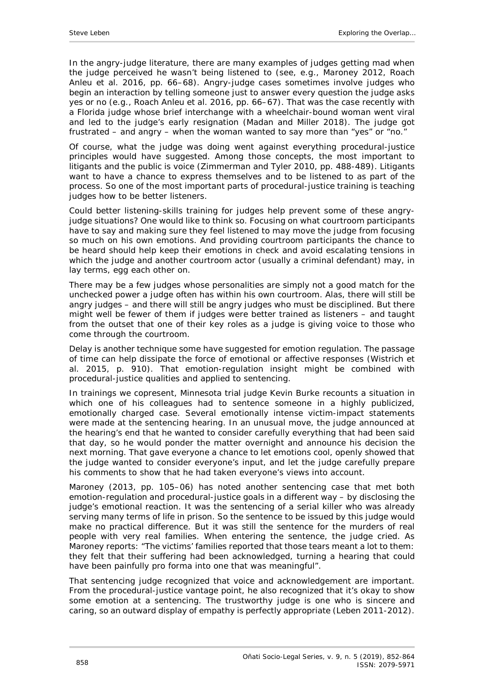In the angry-judge literature, there are many examples of judges getting mad when the judge perceived he wasn't being listened to (see, e.g., Maroney 2012, Roach Anleu *et al.* 2016, pp. 66–68). Angry-judge cases sometimes involve judges who *begin* an interaction by telling someone just to answer every question the judge asks yes or no (e.g., Roach Anleu *et al.* 2016, pp. 66–67). That was the case recently with a Florida judge whose brief interchange with a wheelchair-bound woman went viral and led to the judge's early resignation (Madan and Miller 2018). The judge got frustrated – and angry – when the woman wanted to say more than "yes" or "no."

Of course, what the judge was doing went against everything procedural-justice principles would have suggested. Among those concepts, the most important to litigants and the public is voice (Zimmerman and Tyler 2010, pp. 488-489). Litigants want to have a chance to express themselves and to be listened to as part of the process. So one of the most important parts of procedural-justice training is teaching judges how to be better listeners.

Could better listening-skills training for judges help prevent some of these angryjudge situations? One would like to think so. Focusing on what courtroom participants have to say and making sure they feel listened to may move the judge from focusing so much on his own emotions. And providing courtroom participants the chance to be heard should help keep their emotions in check and avoid escalating tensions in which the judge and another courtroom actor (usually a criminal defendant) may, in lay terms, egg each other on.

There may be a few judges whose personalities are simply not a good match for the unchecked power a judge often has within his own courtroom. Alas, there will still be angry judges – and there will still be angry judges who must be disciplined. But there might well be fewer of them if judges were better trained as listeners – and taught from the outset that one of their key roles as a judge is giving voice to those who come through the courtroom.

Delay is another technique some have suggested for emotion regulation. The passage of time can help dissipate the force of emotional or affective responses (Wistrich *et al.* 2015, p. 910). That emotion-regulation insight might be combined with procedural-justice qualities and applied to sentencing.

In trainings we copresent, Minnesota trial judge Kevin Burke recounts a situation in which one of his colleagues had to sentence someone in a highly publicized, emotionally charged case. Several emotionally intense victim-impact statements were made at the sentencing hearing. In an unusual move, the judge announced at the hearing's end that he wanted to consider carefully everything that had been said that day, so he would ponder the matter overnight and announce his decision the next morning. That gave everyone a chance to let emotions cool, openly showed that the judge wanted to consider everyone's input, and let the judge carefully prepare his comments to show that he had taken everyone's views into account.

Maroney (2013, pp. 105–06) has noted another sentencing case that met both emotion-regulation and procedural-justice goals in a different way – by disclosing the judge's emotional reaction. It was the sentencing of a serial killer who was already serving many terms of life in prison. So the sentence to be issued by this judge would make no practical difference. But it was still the sentence for the murders of real people with very real families. When entering the sentence, the judge cried. As Maroney reports: "The victims' families reported that those tears meant a lot to them: they felt that their suffering had been acknowledged, turning a hearing that could have been painfully *pro forma* into one that was meaningful".

That sentencing judge recognized that voice and acknowledgement are important. From the procedural-justice vantage point, he also recognized that it's okay to show some emotion at a sentencing. The trustworthy judge is one who is sincere and caring, so an outward display of empathy is perfectly appropriate (Leben 2011-2012).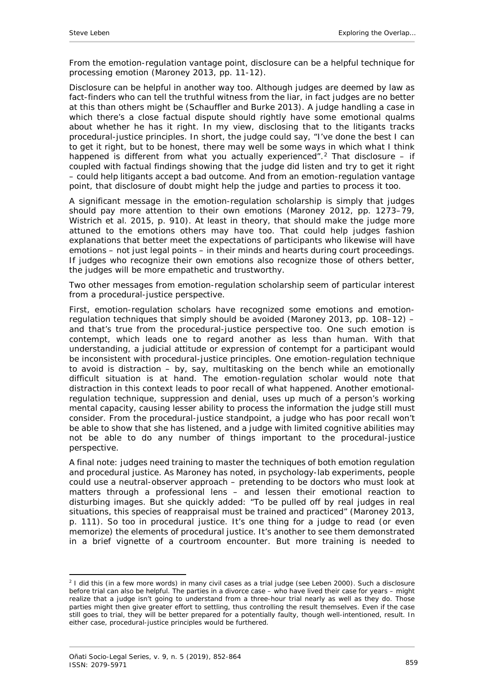From the emotion-regulation vantage point, disclosure can be a helpful technique for processing emotion (Maroney 2013, pp. 11-12).

Disclosure can be helpful in another way too. Although judges are deemed by law as fact-finders who can tell the truthful witness from the liar, in fact judges are no better at this than others might be (Schauffler and Burke 2013). A judge handling a case in which there's a close factual dispute should rightly have some emotional qualms about whether he has it right. In my view, disclosing that to the litigants tracks procedural-justice principles. In short, the judge could say, "I've done the best I can to get it right, but to be honest, there may well be some ways in which what I think happened is different from what you actually experienced".<sup>[2](#page-7-0)</sup> That disclosure – if coupled with factual findings showing that the judge *did* listen and try to get it right – could help litigants accept a bad outcome. And from an emotion-regulation vantage point, that disclosure of doubt might help the judge and parties to process it too.

A significant message in the emotion-regulation scholarship is simply that judges should pay more attention to their own emotions (Maroney 2012, pp. 1273–79, Wistrich *et al.* 2015, p. 910). At least in theory, that should make the judge more attuned to the emotions others may have too. That could help judges fashion explanations that better meet the expectations of participants who likewise will have emotions – not just legal points – in their minds and hearts during court proceedings. If judges who recognize their own emotions also recognize those of others better, the judges will be more empathetic and trustworthy.

Two other messages from emotion-regulation scholarship seem of particular interest from a procedural-justice perspective.

First, emotion-regulation scholars have recognized some emotions and emotionregulation techniques that simply should be avoided (Maroney 2013, pp. 108–12) – and that's true from the procedural-justice perspective too. One such emotion is contempt, which leads one to regard another as less than human. With that understanding, a judicial attitude or expression of contempt for a participant would be inconsistent with procedural-justice principles. One emotion-regulation technique to avoid is distraction – by, say, multitasking on the bench while an emotionally difficult situation is at hand. The emotion-regulation scholar would note that distraction in this context leads to poor recall of what happened. Another emotionalregulation technique, suppression and denial, uses up much of a person's working mental capacity, causing lesser ability to process the information the judge still must consider. From the procedural-justice standpoint, a judge who has poor recall won't be able to show that she has listened, and a judge with limited cognitive abilities may not be able to do any number of things important to the procedural-justice perspective.

A final note: judges need training to master the techniques of both emotion regulation and procedural justice. As Maroney has noted, in psychology-lab experiments, people could use a neutral-observer approach – pretending to be doctors who must look at matters through a professional lens – and lessen their emotional reaction to disturbing images. But she quickly added: "To be pulled off by real judges in real situations, this species of reappraisal must be trained and practiced" (Maroney 2013, p. 111). So too in procedural justice. It's one thing for a judge to read (or even memorize) the elements of procedural justice. It's another to see them demonstrated in a brief vignette of a courtroom encounter. But more training is needed to

<span id="page-7-0"></span><sup>&</sup>lt;u>.</u> <sup>2</sup> I did this (in a few more words) in many civil cases as a trial judge (see Leben 2000). Such a disclosure *before* trial can also be helpful. The parties in a divorce case – who have lived their case for years – might realize that a judge isn't going to understand from a three-hour trial nearly as well as they do. Those parties might then give greater effort to settling, thus controlling the result themselves. Even if the case still goes to trial, they will be better prepared for a potentially faulty, though well-intentioned, result. In either case, procedural-justice principles would be furthered.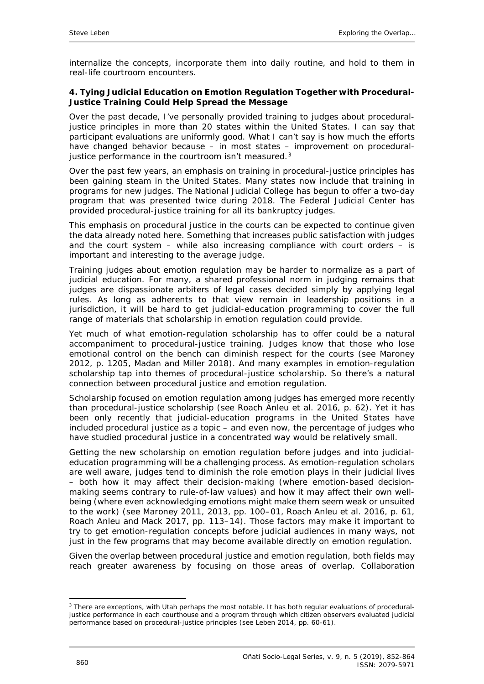internalize the concepts, incorporate them into daily routine, and hold to them in real-life courtroom encounters.

## <span id="page-8-0"></span>**4. Tying Judicial Education on Emotion Regulation Together with Procedural-Justice Training Could Help Spread the Message**

Over the past decade, I've personally provided training to judges about proceduraljustice principles in more than 20 states within the United States. I can say that participant evaluations are uniformly good. What I can't say is how much the efforts have changed behavior because – in most states – improvement on procedural-justice performance in the courtroom isn't measured.<sup>[3](#page-8-1)</sup>

Over the past few years, an emphasis on training in procedural-justice principles has been gaining steam in the United States. Many states now include that training in programs for new judges. The National Judicial College has begun to offer a two-day program that was presented twice during 2018. The Federal Judicial Center has provided procedural-justice training for all its bankruptcy judges.

This emphasis on procedural justice in the courts can be expected to continue given the data already noted here. Something that increases public satisfaction with judges and the court system – while also increasing compliance with court orders – is important and interesting to the average judge.

Training judges about emotion regulation may be harder to normalize as a part of judicial education. For many, a shared professional norm in judging remains that judges are dispassionate arbiters of legal cases decided simply by applying legal rules. As long as adherents to that view remain in leadership positions in a jurisdiction, it will be hard to get judicial-education programming to cover the full range of materials that scholarship in emotion regulation could provide.

Yet much of what emotion-regulation scholarship has to offer could be a natural accompaniment to procedural-justice training. Judges know that those who lose emotional control on the bench can diminish respect for the courts (see Maroney 2012, p. 1205, Madan and Miller 2018). And many examples in emotion-regulation scholarship tap into themes of procedural-justice scholarship. So there's a natural connection between procedural justice and emotion regulation.

Scholarship focused on emotion regulation among judges has emerged more recently than procedural-justice scholarship (see Roach Anleu *et al.* 2016, p. 62). Yet it has been only recently that judicial-education programs in the United States have included procedural justice as a topic – and even now, the percentage of judges who have studied procedural justice in a concentrated way would be relatively small.

Getting the new scholarship on emotion regulation before judges and into judicialeducation programming will be a challenging process. As emotion-regulation scholars are well aware, judges tend to diminish the role emotion plays in their judicial lives – both how it may affect their decision-making (where emotion-based decisionmaking seems contrary to rule-of-law values) and how it may affect their own wellbeing (where even acknowledging emotions might make them seem weak or unsuited to the work) (see Maroney 2011, 2013, pp. 100–01, Roach Anleu *et al.* 2016, p. 61, Roach Anleu and Mack 2017, pp. 113–14). Those factors may make it important to try to get emotion-regulation concepts before judicial audiences in many ways, not just in the few programs that may become available directly on emotion regulation.

Given the overlap between procedural justice and emotion regulation, both fields may reach greater awareness by focusing on those areas of overlap. Collaboration

<span id="page-8-1"></span><sup>-</sup><sup>3</sup> There are exceptions, with Utah perhaps the most notable. It has both regular evaluations of proceduraljustice performance in each courthouse and a program through which citizen observers evaluated judicial performance based on procedural-justice principles (see Leben 2014, pp. 60-61).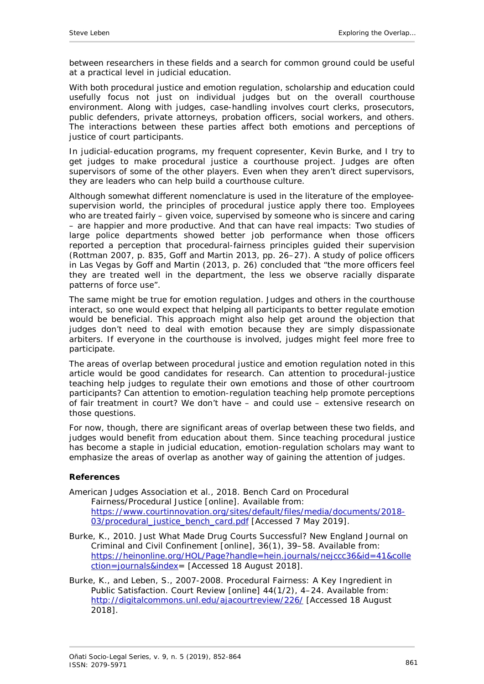between researchers in these fields and a search for common ground could be useful at a practical level in judicial education.

With both procedural justice and emotion regulation, scholarship and education could usefully focus not just on individual judges but on the overall courthouse environment. Along with judges, case-handling involves court clerks, prosecutors, public defenders, private attorneys, probation officers, social workers, and others. The interactions between these parties affect both emotions and perceptions of justice of court participants.

In judicial-education programs, my frequent copresenter, Kevin Burke, and I try to get judges to make procedural justice a courthouse project. Judges are often supervisors of some of the other players. Even when they aren't direct supervisors, they are leaders who can help build a courthouse culture.

Although somewhat different nomenclature is used in the literature of the employeesupervision world, the principles of procedural justice apply there too. Employees who are treated fairly – given voice, supervised by someone who is sincere and caring – are happier and more productive. And that can have real impacts: Two studies of large police departments showed better job performance when those officers reported a perception that procedural-fairness principles guided their supervision (Rottman 2007, p. 835, Goff and Martin 2013, pp. 26–27). A study of police officers in Las Vegas by Goff and Martin (2013, p. 26) concluded that "the more officers feel they are treated well in the department, the less we observe racially disparate patterns of force use".

The same might be true for emotion regulation. Judges and others in the courthouse interact, so one would expect that helping all participants to better regulate emotion would be beneficial. This approach might also help get around the objection that judges don't need to deal with emotion because they are simply dispassionate arbiters. If everyone in the courthouse is involved, judges might feel more free to participate.

The areas of overlap between procedural justice and emotion regulation noted in this article would be good candidates for research. Can attention to procedural-justice teaching help judges to regulate their own emotions and those of other courtroom participants? Can attention to emotion-regulation teaching help promote perceptions of fair treatment in court? We don't have – and could use – extensive research on those questions.

For now, though, there are significant areas of overlap between these two fields, and judges would benefit from education about them. Since teaching procedural justice has become a staple in judicial education, emotion-regulation scholars may want to emphasize the areas of overlap as another way of gaining the attention of judges.

## <span id="page-9-0"></span>**References**

- American Judges Association *et al.,* 2018. *Bench Card on Procedural Fairness/Procedural Justice* [online]. Available from: [https://www.courtinnovation.org/sites/default/files/media/documents/2018-](https://www.courtinnovation.org/sites/default/files/media/documents/2018-03/procedural_justice_bench_card.pdf) [03/procedural\\_justice\\_bench\\_card.pdf](https://www.courtinnovation.org/sites/default/files/media/documents/2018-03/procedural_justice_bench_card.pdf) [Accessed 7 May 2019].
- Burke, K., 2010. Just What Made Drug Courts Successful? *New England Journal on Criminal and Civil Confinement* [online], 36(1), 39–58. Available from: [https://heinonline.org/HOL/Page?handle=hein.journals/nejccc36&id=41&colle](https://heinonline.org/HOL/Page?handle=hein.journals/nejccc36&id=41&collection=journals&index) [ction=journals&index=](https://heinonline.org/HOL/Page?handle=hein.journals/nejccc36&id=41&collection=journals&index) [Accessed 18 August 2018].
- Burke, K., and Leben, S., 2007-2008. Procedural Fairness: A Key Ingredient in Public Satisfaction. *Court Review* [online] 44(1/2), 4–24. Available from: <http://digitalcommons.unl.edu/ajacourtreview/226/> [Accessed 18 August 2018].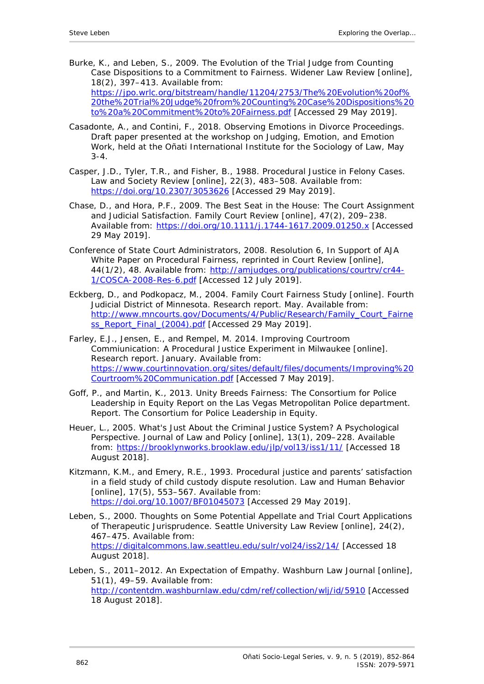- Burke, K., and Leben, S., 2009. The Evolution of the Trial Judge from Counting Case Dispositions to a Commitment to Fairness. *Widener Law Review* [online], 18(2), 397–413. Available from: [https://jpo.wrlc.org/bitstream/handle/11204/2753/The%20Evolution%20of%](https://jpo.wrlc.org/bitstream/handle/11204/2753/The%20Evolution%20of%20the%20Trial%20Judge%20from%20Counting%20Case%20Dispositions%20to%20a%20Commitment%20to%20Fairness.pdf) [20the%20Trial%20Judge%20from%20Counting%20Case%20Dispositions%20](https://jpo.wrlc.org/bitstream/handle/11204/2753/The%20Evolution%20of%20the%20Trial%20Judge%20from%20Counting%20Case%20Dispositions%20to%20a%20Commitment%20to%20Fairness.pdf) [to%20a%20Commitment%20to%20Fairness.pdf](https://jpo.wrlc.org/bitstream/handle/11204/2753/The%20Evolution%20of%20the%20Trial%20Judge%20from%20Counting%20Case%20Dispositions%20to%20a%20Commitment%20to%20Fairness.pdf) [Accessed 29 May 2019].
- Casadonte, A., and Contini, F., 2018. *Observing Emotions in Divorce Proceedings*. Draft paper presented at the workshop on *Judging, Emotion, and Emotion Work,* held at the Oñati International Institute for the Sociology of Law, May 3-4.
- Casper, J.D., Tyler, T.R., and Fisher, B., 1988. Procedural Justice in Felony Cases. *Law and Society Review* [online], 22(3), 483–508. Available from: <https://doi.org/10.2307/3053626> [Accessed 29 May 2019].
- Chase, D., and Hora, P.F., 2009. The Best Seat in the House: The Court Assignment and Judicial Satisfaction. *Family Court Review* [online], 47(2), 209–238. Available from:<https://doi.org/10.1111/j.1744-1617.2009.01250.x> [Accessed 29 May 2019].
- Conference of State Court Administrators, 2008. Resolution 6, In Support of AJA White Paper on Procedural Fairness, reprinted in *Court Review* [online], 44(1/2), 48. Available from: [http://amjudges.org/publications/courtrv/cr44-](http://amjudges.org/publications/courtrv/cr44-1/COSCA-2008-Res-6.pdf) [1/COSCA-2008-Res-6.pdf](http://amjudges.org/publications/courtrv/cr44-1/COSCA-2008-Res-6.pdf) [Accessed 12 July 2019].
- Eckberg, D., and Podkopacz, M., 2004. *Family Court Fairness Study* [online]. Fourth Judicial District of Minnesota. Research report. May. Available from: [http://www.mncourts.gov/Documents/4/Public/Research/Family\\_Court\\_Fairne](http://www.mncourts.gov/Documents/4/Public/Research/Family_Court_Fairness_Report_Final_(2004).pdf) [ss\\_Report\\_Final\\_\(2004\).pdf](http://www.mncourts.gov/Documents/4/Public/Research/Family_Court_Fairness_Report_Final_(2004).pdf) [Accessed 29 May 2019].
- Farley, E.J., Jensen, E., and Rempel, M. 2014. *Improving Courtroom Commiunication: A Procedural Justice Experiment in Milwaukee* [online]. Research report. January. Available from: [https://www.courtinnovation.org/sites/default/files/documents/Improving%20](https://www.courtinnovation.org/sites/default/files/documents/Improving%20Courtroom%20Communication.pdf) [Courtroom%20Communication.pdf](https://www.courtinnovation.org/sites/default/files/documents/Improving%20Courtroom%20Communication.pdf) [Accessed 7 May 2019].
- Goff, P., and Martin, K., 2013. *Unity Breeds Fairness: The Consortium for Police Leadership in Equity Report on the Las Vegas Metropolitan Police department.* Report. The Consortium for Police Leadership in Equity.
- Heuer, L., 2005. What's Just About the Criminal Justice System? A Psychological Perspective. *Journal of Law and Policy* [online], 13(1), 209–228. Available from:<https://brooklynworks.brooklaw.edu/jlp/vol13/iss1/11/> [Accessed 18 August 2018].
- Kitzmann, K.M., and Emery, R.E., 1993. Procedural justice and parents' satisfaction in a field study of child custody dispute resolution. *Law and Human Behavior* [online], 17(5), 553-567. Available from: <https://doi.org/10.1007/BF01045073> [Accessed 29 May 2019].
- Leben, S., 2000. Thoughts on Some Potential Appellate and Trial Court Applications of Therapeutic Jurisprudence. *Seattle University Law Review* [online], 24(2), 467–475. Available from: <https://digitalcommons.law.seattleu.edu/sulr/vol24/iss2/14/> [Accessed 18 August 2018].
- Leben, S., 2011–2012. An Expectation of Empathy. *Washburn Law Journal* [online], 51(1), 49–59. Available from: <http://contentdm.washburnlaw.edu/cdm/ref/collection/wlj/id/5910> [Accessed 18 August 2018].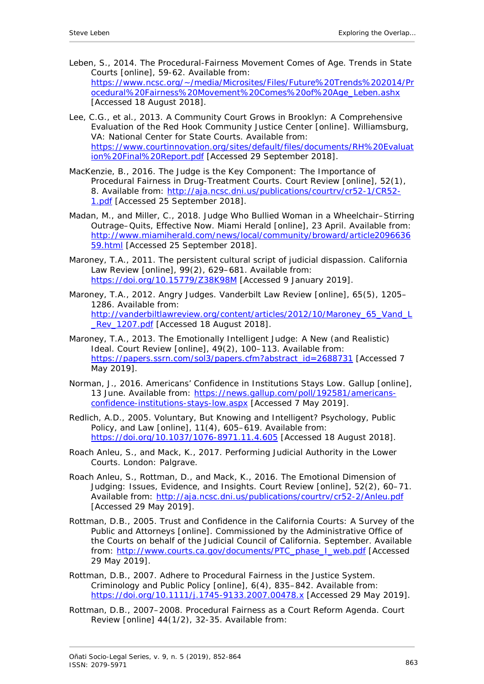- Leben, S., 2014. The Procedural-Fairness Movement Comes of Age. *Trends in State Courts* [online], 59-62. Available from: [https://www.ncsc.org/~/media/Microsites/Files/Future%20Trends%202014/Pr](https://www.ncsc.org/%7E/media/Microsites/Files/Future%20Trends%202014/Procedural%20Fairness%20Movement%20Comes%20of%20Age_Leben.ashx) [ocedural%20Fairness%20Movement%20Comes%20of%20Age\\_Leben.ashx](https://www.ncsc.org/%7E/media/Microsites/Files/Future%20Trends%202014/Procedural%20Fairness%20Movement%20Comes%20of%20Age_Leben.ashx) [Accessed 18 August 2018].
- Lee, C.G., *et al.*, 2013. *A Community Court Grows in Brooklyn: A Comprehensive Evaluation of the Red Hook Community Justice Center* [online]. Williamsburg, VA: National Center for State Courts. Available from: [https://www.courtinnovation.org/sites/default/files/documents/RH%20Evaluat](https://www.courtinnovation.org/sites/default/files/documents/RH%20Evaluation%20Final%20Report.pdf) [ion%20Final%20Report.pdf](https://www.courtinnovation.org/sites/default/files/documents/RH%20Evaluation%20Final%20Report.pdf) [Accessed 29 September 2018].
- MacKenzie, B., 2016. The Judge is the Key Component: The Importance of Procedural Fairness in Drug-Treatment Courts. *Court Review* [online], 52(1), 8. Available from: [http://aja.ncsc.dni.us/publications/courtrv/cr52-1/CR52-](http://aja.ncsc.dni.us/publications/courtrv/cr52-1/CR52-1.pdf) [1.pdf](http://aja.ncsc.dni.us/publications/courtrv/cr52-1/CR52-1.pdf) [Accessed 25 September 2018].
- Madan, M., and Miller, C., 2018. Judge Who Bullied Woman in a Wheelchair–Stirring Outrage–Quits, Effective Now. *Miami Herald* [online], 23 April. Available from: [http://www.miamiherald.com/news/local/community/broward/article2096636](http://www.miamiherald.com/news/local/community/broward/article209663659.html) [59.html](http://www.miamiherald.com/news/local/community/broward/article209663659.html) [Accessed 25 September 2018].
- Maroney, T.A., 2011. The persistent cultural script of judicial dispassion. *California Law Review* [online], 99(2), 629–681. Available from: <https://doi.org/10.15779/Z38K98M> [Accessed 9 January 2019].
- Maroney, T.A., 2012. Angry Judges. *Vanderbilt Law Review* [online], 65(5), 1205– 1286. Available from: [http://vanderbiltlawreview.org/content/articles/2012/10/Maroney\\_65\\_Vand\\_L](http://vanderbiltlawreview.org/content/articles/2012/10/Maroney_65_Vand_L_Rev_1207.pdf) Rev\_1207.pdf [Accessed 18 August 2018].
- Maroney, T.A., 2013. The Emotionally Intelligent Judge: A New (and Realistic) Ideal. *Court Review* [online], 49(2), 100–113. Available from: [https://papers.ssrn.com/sol3/papers.cfm?abstract\\_id=2688731](https://papers.ssrn.com/sol3/papers.cfm?abstract_id=2688731) [Accessed 7 May 2019].
- Norman, J., 2016. Americans' Confidence in Institutions Stays Low. *Gallup* [online], 13 June. Available from: [https://news.gallup.com/poll/192581/americans](https://news.gallup.com/poll/192581/americans-confidence-institutions-stays-low.aspx)[confidence-institutions-stays-low.aspx](https://news.gallup.com/poll/192581/americans-confidence-institutions-stays-low.aspx) [Accessed 7 May 2019].
- Redlich, A.D., 2005. Voluntary, But Knowing and Intelligent? *Psychology, Public Policy, and Law* [online], 11(4), 605–619. Available from: <https://doi.org/10.1037/1076-8971.11.4.605> [Accessed 18 August 2018].
- Roach Anleu, S., and Mack, K., 2017. *Performing Judicial Authority in the Lower Courts.* London: Palgrave.
- Roach Anleu, S., Rottman, D., and Mack, K., 2016. The Emotional Dimension of Judging: Issues, Evidence, and Insights. *Court Review* [online], 52(2), 60–71. Available from:<http://aja.ncsc.dni.us/publications/courtrv/cr52-2/Anleu.pdf> [Accessed 29 May 2019].
- Rottman, D.B., 2005. *Trust and Confidence in the California Courts: A Survey of the Public and Attorneys* [online]. Commissioned by the Administrative Office of the Courts on behalf of the Judicial Council of California. September. Available from: [http://www.courts.ca.gov/documents/PTC\\_phase\\_I\\_web.pdf](http://www.courts.ca.gov/documents/PTC_phase_I_web.pdf) [Accessed 29 May 2019].
- Rottman, D.B., 2007. Adhere to Procedural Fairness in the Justice System. *Criminology and Public Policy* [online], 6(4), 835–842. Available from: <https://doi.org/10.1111/j.1745-9133.2007.00478.x> [Accessed 29 May 2019].
- Rottman, D.B., 2007–2008. Procedural Fairness as a Court Reform Agenda. *Court Review* [online] 44(1/2), 32-35. Available from: